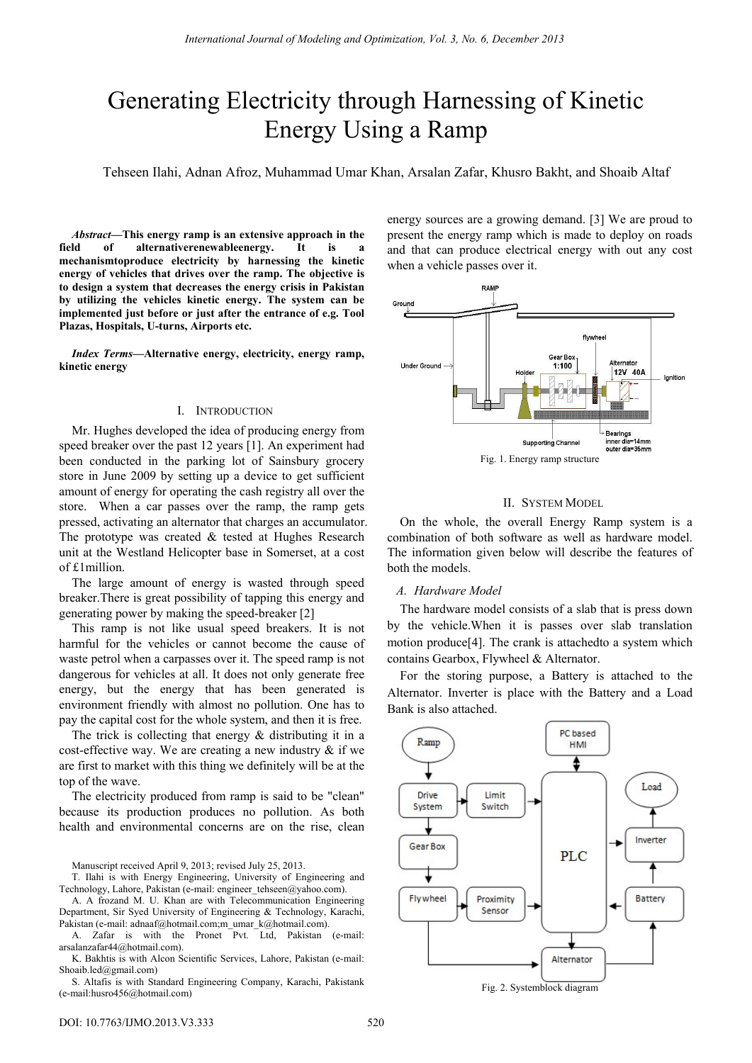# Generating Electricity through Harnessing of Kinetic Energy Using a Ramp

Tehseen Ilahi, Adnan Afroz, Muhammad Umar Khan, Arsalan Zafar, Khusro Bakht, and Shoaib Altaf

*Abstract—***This energy ramp is an extensive approach in the field of alternativerenewableenergy. It is a mechanismtoproduce electricity by harnessing the kinetic energy of vehicles that drives over the ramp. The objective is to design a system that decreases the energy crisis in Pakistan by utilizing the vehicles kinetic energy. The system can be implemented just before or just after the entrance of e.g. Tool Plazas, Hospitals, U-turns, Airports etc.** 

*Index Terms***—Alternative energy, electricity, energy ramp, kinetic energy** 

#### I. INTRODUCTION

Mr. Hughes developed the idea of producing energy from speed breaker over the past 12 years [1]. An experiment had been conducted in the parking lot of Sainsbury grocery store in June 2009 by setting up a device to get sufficient amount of energy for operating the cash registry all over the store. When a car passes over the ramp, the ramp gets pressed, activating an alternator that charges an accumulator. The prototype was created  $&$  tested at Hughes Research unit at the Westland Helicopter base in Somerset, at a cost of £1million.

The large amount of energy is wasted through speed breaker.There is great possibility of tapping this energy and generating power by making the speed-breaker [2]

This ramp is not like usual speed breakers. It is not harmful for the vehicles or cannot become the cause of waste petrol when a carpasses over it. The speed ramp is not dangerous for vehicles at all. It does not only generate free energy, but the energy that has been generated is environment friendly with almost no pollution. One has to pay the capital cost for the whole system, and then it is free.

The trick is collecting that energy & distributing it in a cost-effective way. We are creating a new industry  $\&$  if we are first to market with this thing we definitely will be at the top of the wave.

The electricity produced from ramp is said to be "clean" because its production produces no pollution. As both health and environmental concerns are on the rise, clean

Manuscript received April 9, 2013; revised July 25, 2013.

T. Ilahi is with Energy Engineering, University of Engineering and Technology, Lahore, Pakistan (e-mail: engineer\_tehseen@yahoo.com).

A. A frozand M. U. Khan are with Telecommunication Engineering Department, Sir Syed University of Engineering & Technology, Karachi, Pakistan (e-mail: adnaaf@hotmail.com;m\_umar\_k@hotmail.com).

A. Zafar is with the Pronet Pvt. Ltd, Pakistan (e-mail: arsalanzafar44@hotmail.com).

K. Bakhtis is with Alcon Scientific Services, Lahore, Pakistan (e-mail: Shoaib.led@gmail.com)

S. Altafis is with Standard Engineering Company, Karachi, Pakistank (e-mail:husro456@hotmail.com)

energy sources are a growing demand. [3] We are proud to present the energy ramp which is made to deploy on roads and that can produce electrical energy with out any cost when a vehicle passes over it.



#### II. SYSTEM MODEL

On the whole, the overall Energy Ramp system is a combination of both software as well as hardware model. The information given below will describe the features of both the models.

#### *A. Hardware Model*

The hardware model consists of a slab that is press down by the vehicle.When it is passes over slab translation motion produce[4]. The crank is attachedto a system which contains Gearbox, Flywheel & Alternator.

For the storing purpose, a Battery is attached to the Alternator. Inverter is place with the Battery and a Load Bank is also attached.



Fig. 2. Systemblock diagram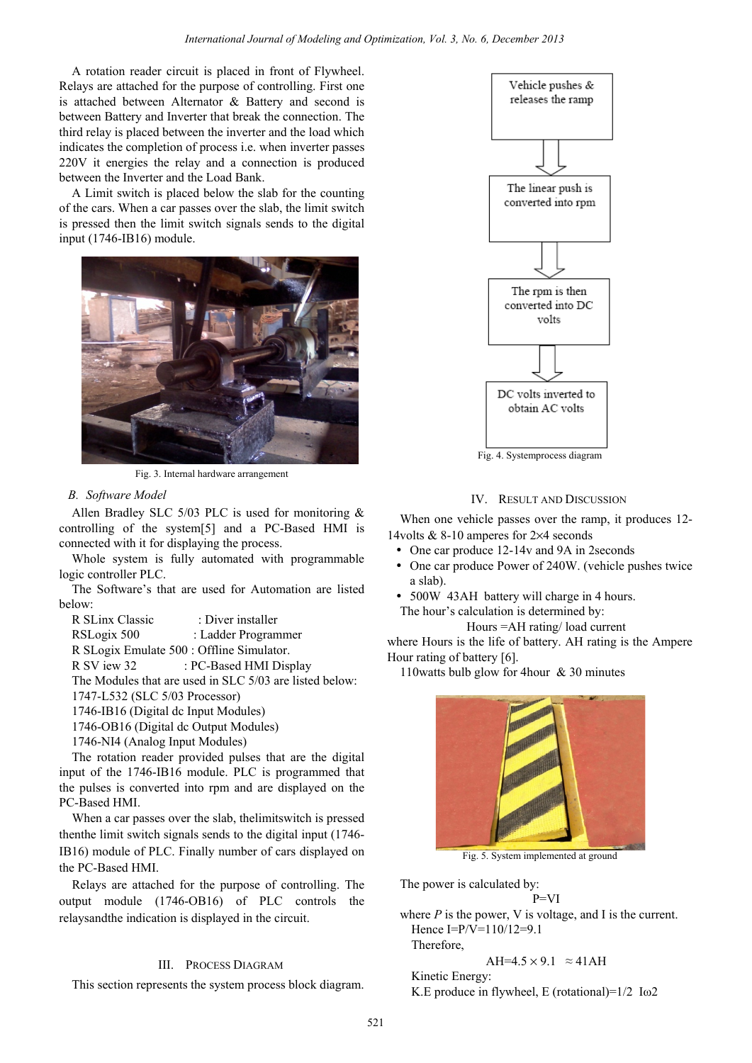A rotation reader circuit is placed in front of Flywheel. Relays are attached for the purpose of controlling. First one is attached between Alternator & Battery and second is between Battery and Inverter that break the connection. The third relay is placed between the inverter and the load which indicates the completion of process i.e. when inverter passes 220V it energies the relay and a connection is produced between the Inverter and the Load Bank.

A Limit switch is placed below the slab for the counting of the cars. When a car passes over the slab, the limit switch is pressed then the limit switch signals sends to the digital input (1746-IB16) module.



Fig. 3. Internal hardware arrangement

# *B. Software Model*

Allen Bradley SLC 5/03 PLC is used for monitoring & controlling of the system[5] and a PC-Based HMI is connected with it for displaying the process.

Whole system is fully automated with programmable logic controller PLC.

The Software's that are used for Automation are listed below:

| R SLinx Classic                           | : Diver installer      |
|-------------------------------------------|------------------------|
| RSLogix 500                               | : Ladder Programmer    |
| R SLogix Emulate 500 : Offline Simulator. |                        |
| R SV jew 32                               | : PC-Based HMI Display |

The Modules that are used in SLC 5/03 are listed below:

1747-L532 (SLC 5/03 Processor)

1746-IB16 (Digital dc Input Modules)

1746-OB16 (Digital dc Output Modules)

1746-NI4 (Analog Input Modules)

The rotation reader provided pulses that are the digital input of the 1746-IB16 module. PLC is programmed that the pulses is converted into rpm and are displayed on the PC-Based HMI.

When a car passes over the slab, thelimitswitch is pressed thenthe limit switch signals sends to the digital input (1746- IB16) module of PLC. Finally number of cars displayed on the PC-Based HMI.

Relays are attached for the purpose of controlling. The output module (1746-OB16) of PLC controls the relaysandthe indication is displayed in the circuit.

### III. PROCESS DIAGRAM

This section represents the system process block diagram.



Fig. 4. Systemprocess diagram

# IV. RESULT AND DISCUSSION

When one vehicle passes over the ramp, it produces 12- 14volts & 8-10 amperes for 2×4 seconds

- One car produce 12-14v and 9A in 2seconds
- One car produce Power of 240W. (vehicle pushes twice a slab).
- 500W 43AH battery will charge in 4 hours. The hour's calculation is determined by:

Hours =AH rating/ load current

where Hours is the life of battery. AH rating is the Ampere Hour rating of battery [6].

110watts bulb glow for 4hour & 30 minutes



Fig. 5. System implemented at ground

The power is calculated by: P=VI

where *P* is the power, V is voltage, and I is the current. Hence I=P/V=110/12=9.1

Therefore,

$$
AH=4.5\times9.1 \approx 41AH
$$

Kinetic Energy: K.E produce in flywheel, E (rotational)= $1/2$  I $\omega$ 2